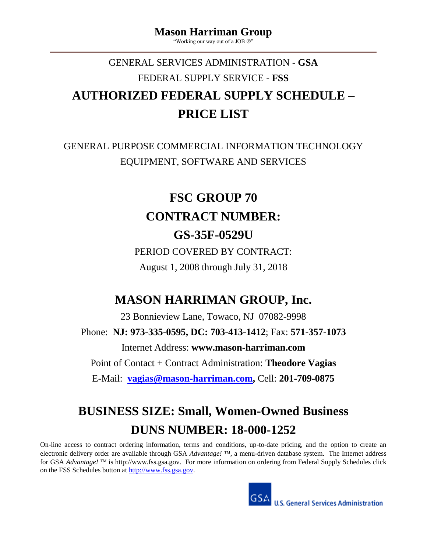"Working our way out of a JOB  $\mathbb{Q}$ "

# GENERAL SERVICES ADMINISTRATION - **GSA** FEDERAL SUPPLY SERVICE - **FSS AUTHORIZED FEDERAL SUPPLY SCHEDULE – PRICE LIST**

# GENERAL PURPOSE COMMERCIAL INFORMATION TECHNOLOGY EQUIPMENT, SOFTWARE AND SERVICES

# **FSC GROUP 70 CONTRACT NUMBER: GS-35F-0529U**

PERIOD COVERED BY CONTRACT: August 1, 2008 through July 31, 2018

# **MASON HARRIMAN GROUP, Inc.**

23 Bonnieview Lane, Towaco, NJ 07082-9998 Phone: **NJ: 973-335-0595, DC: 703-413-1412**; Fax: **571-357-1073** Internet Address: **www.mason-harriman.com** Point of Contact + Contract Administration: **Theodore Vagias** E-Mail: **[vagias@mason-harriman.com,](mailto:vagias@mason-harriman.com)** Cell: **201-709-0875**

# **BUSINESS SIZE: Small, Women-Owned Business DUNS NUMBER: 18-000-1252**

On-line access to contract ordering information, terms and conditions, up-to-date pricing, and the option to create an electronic delivery order are available through GSA *Advantage!* <sup>TM</sup>, a menu-driven database system. The Internet address for GSA *Advantage!* <sup>TM</sup> is http://www.fss.gsa.gov. For more information on ordering from Federal Supply Schedules click on the FSS Schedules button at [http://www.fss.gsa.gov.](http://www.fss.gsa.gov/)

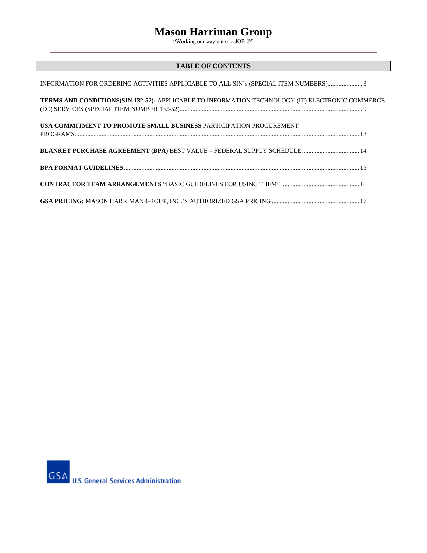"Working our way out of a JOB ®"

## **TABLE OF CONTENTS**

| INFORMATION FOR ORDERING ACTIVITIES APPLICABLE TO ALL SIN's (SPECIAL ITEM NUMBERS) 3            |
|-------------------------------------------------------------------------------------------------|
| TERMS AND CONDITIONS(SIN 132-52): APPLICABLE TO INFORMATION TECHNOLOGY (IT) ELECTRONIC COMMERCE |
| USA COMMITMENT TO PROMOTE SMALL BUSINESS PARTICIPATION PROCUREMENT                              |
| BLANKET PURCHASE AGREEMENT (BPA) BEST VALUE - FEDERAL SUPPLY SCHEDULE 14                        |
|                                                                                                 |
|                                                                                                 |
|                                                                                                 |

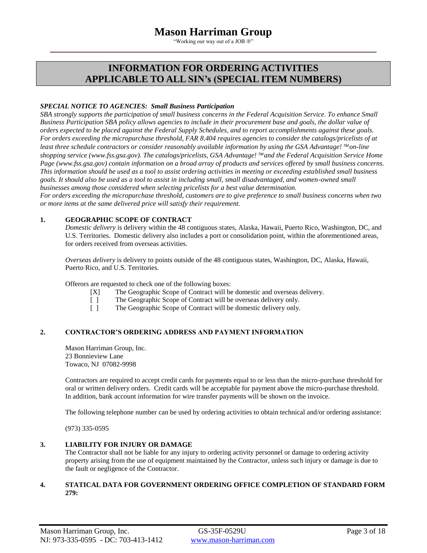"Working our way out of a JOB  $\circledR$ "

## **INFORMATION FOR ORDERING ACTIVITIES APPLICABLE TO ALL SIN's (SPECIAL ITEM NUMBERS)**

## *SPECIAL NOTICE TO AGENCIES: Small Business Participation*

*SBA strongly supports the participation of small business concerns in the Federal Acquisition Service. To enhance Small Business Participation SBA policy allows agencies to include in their procurement base and goals, the dollar value of orders expected to be placed against the Federal Supply Schedules, and to report accomplishments against these goals. For orders exceeding the micropurchase threshold, FAR 8.404 requires agencies to consider the catalogs/pricelists of at least three schedule contractors or consider reasonably available information by using the GSA Advantage!* ™on-line *shopping service (www.fss.gsa.gov). The catalogs/pricelists, GSA Advantage!* ™and the *Federal Acquisition Service Home Page (www.fss.gsa.gov) contain information on a broad array of products and services offered by small business concerns. This information should be used as a tool to assist ordering activities in meeting or exceeding established small business goals. It should also be used as a tool to assist in including small, small disadvantaged, and women-owned small businesses among those considered when selecting pricelists for a best value determination.* 

*For orders exceeding the micropurchase threshold, customers are to give preference to small business concerns when two or more items at the same delivered price will satisfy their requirement.*

## **1. GEOGRAPHIC SCOPE OF CONTRACT**

*Domestic delivery* is delivery within the 48 contiguous states, Alaska, Hawaii, Puerto Rico, Washington, DC, and U.S. Territories. Domestic delivery also includes a port or consolidation point, within the aforementioned areas, for orders received from overseas activities.

*Overseas delivery* is delivery to points outside of the 48 contiguous states, Washington, DC, Alaska, Hawaii, Puerto Rico, and U.S. Territories.

Offerors are requested to check one of the following boxes:

- [X] The Geographic Scope of Contract will be domestic and overseas delivery.
- [ ] The Geographic Scope of Contract will be overseas delivery only.
- [ ] The Geographic Scope of Contract will be domestic delivery only.

## **2. CONTRACTOR'S ORDERING ADDRESS AND PAYMENT INFORMATION**

Mason Harriman Group, Inc. 23 Bonnieview Lane Towaco, NJ 07082-9998

Contractors are required to accept credit cards for payments equal to or less than the micro-purchase threshold for oral or written delivery orders. Credit cards will be acceptable for payment above the micro-purchase threshold. In addition, bank account information for wire transfer payments will be shown on the invoice.

The following telephone number can be used by ordering activities to obtain technical and/or ordering assistance:

(973) 335-0595

## **3. LIABILITY FOR INJURY OR DAMAGE**

The Contractor shall not be liable for any injury to ordering activity personnel or damage to ordering activity property arising from the use of equipment maintained by the Contractor, unless such injury or damage is due to the fault or negligence of the Contractor.

## **4. STATICAL DATA FOR GOVERNMENT ORDERING OFFICE COMPLETION OF STANDARD FORM 279:**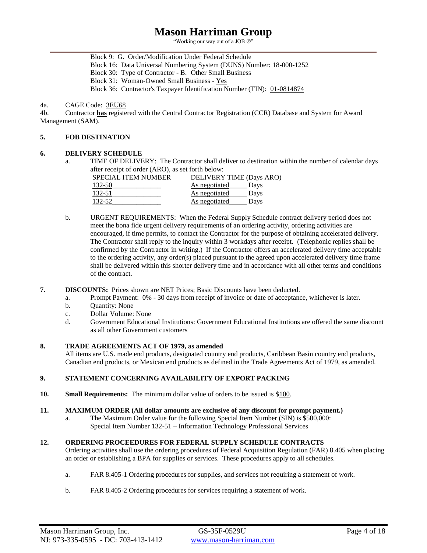"Working our way out of a JOB  $\circledR$ "

Block 9: G. Order/Modification Under Federal Schedule Block 16: Data Universal Numbering System (DUNS) Number: 18-000-1252 Block 30: Type of Contractor - B. Other Small Business Block 31: Woman-Owned Small Business - Yes

Block 36: Contractor's Taxpayer Identification Number (TIN): 01-0814874

#### 4a. CAGE Code: 3EU68

4b. Contractor **has** registered with the Central Contractor Registration (CCR) Database and System for Award Management (SAM).

## **5. FOB DESTINATION**

## **6. DELIVERY SCHEDULE**

a. TIME OF DELIVERY: The Contractor shall deliver to destination within the number of calendar days after receipt of order (ARO), as set forth below:

| <b>SPECIAL ITEM NUMBER</b> | DELIVERY TIME (Days ARO) |  |
|----------------------------|--------------------------|--|
| 132-50                     | As negotiated<br>Days    |  |
| 132-51                     | As negotiated<br>Days    |  |
| 132-52                     | As negotiated<br>Days    |  |

- b. URGENT REQUIREMENTS: When the Federal Supply Schedule contract delivery period does not meet the bona fide urgent delivery requirements of an ordering activity, ordering activities are encouraged, if time permits, to contact the Contractor for the purpose of obtaining accelerated delivery. The Contractor shall reply to the inquiry within 3 workdays after receipt. (Telephonic replies shall be confirmed by the Contractor in writing.) If the Contractor offers an accelerated delivery time acceptable to the ordering activity, any order(s) placed pursuant to the agreed upon accelerated delivery time frame shall be delivered within this shorter delivery time and in accordance with all other terms and conditions of the contract.
- **7. DISCOUNTS:** Prices shown are NET Prices; Basic Discounts have been deducted.
	- a. Prompt Payment: 0% 30 days from receipt of invoice or date of acceptance, whichever is later.
	- b. Quantity: None
	- c. Dollar Volume: None
	- d. Government Educational Institutions: Government Educational Institutions are offered the same discount as all other Government customers

## **8. TRADE AGREEMENTS ACT OF 1979, as amended**

All items are U.S. made end products, designated country end products, Caribbean Basin country end products, Canadian end products, or Mexican end products as defined in the Trade Agreements Act of 1979, as amended.

## **9. STATEMENT CONCERNING AVAILABILITY OF EXPORT PACKING**

**10. Small Requirements:** The minimum dollar value of orders to be issued is \$100.

#### **11. MAXIMUM ORDER (All dollar amounts are exclusive of any discount for prompt payment.)**

The Maximum Order value for the following Special Item Number (SIN) is \$500,000: Special Item Number 132-51 – Information Technology Professional Services

## **12. ORDERING PROCEEDURES FOR FEDERAL SUPPLY SCHEDULE CONTRACTS**

Ordering activities shall use the ordering procedures of Federal Acquisition Regulation (FAR) 8.405 when placing an order or establishing a BPA for supplies or services. These procedures apply to all schedules.

- a. FAR 8.405-1 Ordering procedures for supplies, and services not requiring a statement of work.
- b. FAR 8.405-2 Ordering procedures for services requiring a statement of work.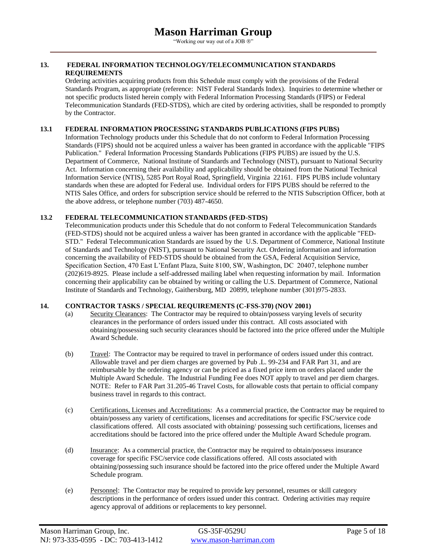"Working our way out of a JOB ®"

## **13. FEDERAL INFORMATION TECHNOLOGY/TELECOMMUNICATION STANDARDS REQUIREMENTS**

Ordering activities acquiring products from this Schedule must comply with the provisions of the Federal Standards Program, as appropriate (reference: NIST Federal Standards Index). Inquiries to determine whether or not specific products listed herein comply with Federal Information Processing Standards (FIPS) or Federal Telecommunication Standards (FED-STDS), which are cited by ordering activities, shall be responded to promptly by the Contractor.

## **13.1 FEDERAL INFORMATION PROCESSING STANDARDS PUBLICATIONS (FIPS PUBS)**

Information Technology products under this Schedule that do not conform to Federal Information Processing Standards (FIPS) should not be acquired unless a waiver has been granted in accordance with the applicable "FIPS Publication." Federal Information Processing Standards Publications (FIPS PUBS) are issued by the U.S. Department of Commerce, National Institute of Standards and Technology (NIST), pursuant to National Security Act. Information concerning their availability and applicability should be obtained from the National Technical Information Service (NTIS), 5285 Port Royal Road, Springfield, Virginia 22161. FIPS PUBS include voluntary standards when these are adopted for Federal use. Individual orders for FIPS PUBS should be referred to the NTIS Sales Office, and orders for subscription service should be referred to the NTIS Subscription Officer, both at the above address, or telephone number (703) 487-4650.

## **13.2 FEDERAL TELECOMMUNICATION STANDARDS (FED-STDS)**

Telecommunication products under this Schedule that do not conform to Federal Telecommunication Standards (FED-STDS) should not be acquired unless a waiver has been granted in accordance with the applicable "FED-STD." Federal Telecommunication Standards are issued by the U.S. Department of Commerce, National Institute of Standards and Technology (NIST), pursuant to National Security Act. Ordering information and information concerning the availability of FED-STDS should be obtained from the GSA, Federal Acquisition Service, Specification Section, 470 East L'Enfant Plaza, Suite 8100, SW, Washington, DC 20407, telephone number (202)619-8925. Please include a self-addressed mailing label when requesting information by mail. Information concerning their applicability can be obtained by writing or calling the U.S. Department of Commerce, National Institute of Standards and Technology, Gaithersburg, MD 20899, telephone number (301)975-2833.

## **14. CONTRACTOR TASKS / SPECIAL REQUIREMENTS (C-FSS-370) (NOV 2001)**

- (a) Security Clearances: The Contractor may be required to obtain/possess varying levels of security clearances in the performance of orders issued under this contract. All costs associated with obtaining/possessing such security clearances should be factored into the price offered under the Multiple Award Schedule.
- (b) Travel: The Contractor may be required to travel in performance of orders issued under this contract. Allowable travel and per diem charges are governed by Pub .L. 99-234 and FAR Part 31, and are reimbursable by the ordering agency or can be priced as a fixed price item on orders placed under the Multiple Award Schedule. The Industrial Funding Fee does NOT apply to travel and per diem charges. NOTE: Refer to FAR Part 31.205-46 Travel Costs, for allowable costs that pertain to official company business travel in regards to this contract.
- (c) Certifications, Licenses and Accreditations: As a commercial practice, the Contractor may be required to obtain/possess any variety of certifications, licenses and accreditations for specific FSC/service code classifications offered. All costs associated with obtaining/ possessing such certifications, licenses and accreditations should be factored into the price offered under the Multiple Award Schedule program.
- (d) Insurance: As a commercial practice, the Contractor may be required to obtain/possess insurance coverage for specific FSC/service code classifications offered. All costs associated with obtaining/possessing such insurance should be factored into the price offered under the Multiple Award Schedule program.
- (e) Personnel: The Contractor may be required to provide key personnel, resumes or skill category descriptions in the performance of orders issued under this contract. Ordering activities may require agency approval of additions or replacements to key personnel.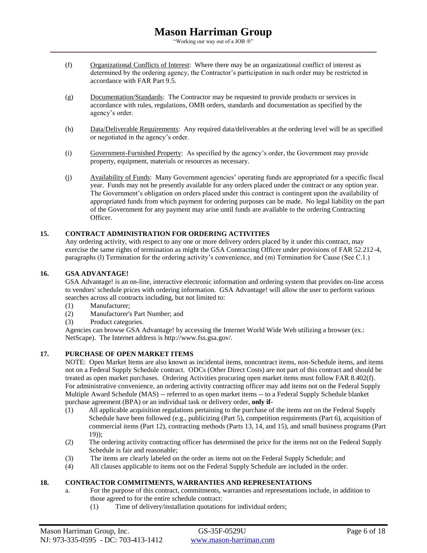"Working our way out of a JOB  $\circledR$ "

- (f) Organizational Conflicts of Interest: Where there may be an organizational conflict of interest as determined by the ordering agency, the Contractor's participation in such order may be restricted in accordance with FAR Part 9.5.
- (g) Documentation/Standards: The Contractor may be requested to provide products or services in accordance with rules, regulations, OMB orders, standards and documentation as specified by the agency's order.
- (h) Data/Deliverable Requirements: Any required data/deliverables at the ordering level will be as specified or negotiated in the agency's order.
- (i) Government-Furnished Property: As specified by the agency's order, the Government may provide property, equipment, materials or resources as necessary.
- (j) Availability of Funds: Many Government agencies' operating funds are appropriated for a specific fiscal year. Funds may not be presently available for any orders placed under the contract or any option year. The Government's obligation on orders placed under this contract is contingent upon the availability of appropriated funds from which payment for ordering purposes can be made. No legal liability on the part of the Government for any payment may arise until funds are available to the ordering Contracting Officer.

## **15. CONTRACT ADMINISTRATION FOR ORDERING ACTIVITIES**

Any ordering activity, with respect to any one or more delivery orders placed by it under this contract, may exercise the same rights of termination as might the GSA Contracting Officer under provisions of FAR 52.212-4, paragraphs (l) Termination for the ordering activity's convenience, and (m) Termination for Cause (See C.1.)

#### **16. GSA ADVANTAGE!**

GSA Advantage! is an on-line, interactive electronic information and ordering system that provides on-line access to vendors' schedule prices with ordering information. GSA Advantage! will allow the user to perform various searches across all contracts including, but not limited to:

- (1) Manufacturer;
- (2) Manufacturer's Part Number; and
- (3) Product categories.

Agencies can browse GSA Advantage! by accessing the Internet World Wide Web utilizing a browser (ex.: NetScape). The Internet address is http://www.fss.gsa.gov/.

## **17. PURCHASE OF OPEN MARKET ITEMS**

NOTE: Open Market Items are also known as incidental items, noncontract items, non-Schedule items, and items not on a Federal Supply Schedule contract. ODCs (Other Direct Costs) are not part of this contract and should be treated as open market purchases. Ordering Activities procuring open market items must follow FAR 8.402(f). For administrative convenience, an ordering activity contracting officer may add items not on the Federal Supply Multiple Award Schedule (MAS) -- referred to as open market items -- to a Federal Supply Schedule blanket purchase agreement (BPA) or an individual task or delivery order, **only if**-

- (1) All applicable acquisition regulations pertaining to the purchase of the items not on the Federal Supply Schedule have been followed (e.g., publicizing (Part 5), competition requirements (Part 6), acquisition of commercial items (Part 12), contracting methods (Parts 13, 14, and 15), and small business programs (Part 19));
- (2) The ordering activity contracting officer has determined the price for the items not on the Federal Supply Schedule is fair and reasonable;
- (3) The items are clearly labeled on the order as items not on the Federal Supply Schedule; and
- (4) All clauses applicable to items not on the Federal Supply Schedule are included in the order.

## **18. CONTRACTOR COMMITMENTS, WARRANTIES AND REPRESENTATIONS**

- a. For the purpose of this contract, commitments, warranties and representations include, in addition to those agreed to for the entire schedule contract:
	- (1) Time of delivery/installation quotations for individual orders;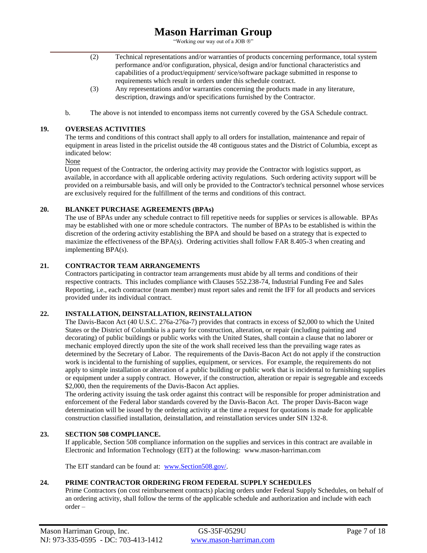"Working our way out of a JOB  $\circledR$ "

- (2) Technical representations and/or warranties of products concerning performance, total system performance and/or configuration, physical, design and/or functional characteristics and capabilities of a product/equipment/ service/software package submitted in response to requirements which result in orders under this schedule contract.
- (3) Any representations and/or warranties concerning the products made in any literature, description, drawings and/or specifications furnished by the Contractor.
- b. The above is not intended to encompass items not currently covered by the GSA Schedule contract.

## **19. OVERSEAS ACTIVITIES**

The terms and conditions of this contract shall apply to all orders for installation, maintenance and repair of equipment in areas listed in the pricelist outside the 48 contiguous states and the District of Columbia, except as indicated below:

## None

Upon request of the Contractor, the ordering activity may provide the Contractor with logistics support, as available, in accordance with all applicable ordering activity regulations. Such ordering activity support will be provided on a reimbursable basis, and will only be provided to the Contractor's technical personnel whose services are exclusively required for the fulfillment of the terms and conditions of this contract.

## **20. BLANKET PURCHASE AGREEMENTS (BPAs)**

The use of BPAs under any schedule contract to fill repetitive needs for supplies or services is allowable. BPAs may be established with one or more schedule contractors. The number of BPAs to be established is within the discretion of the ordering activity establishing the BPA and should be based on a strategy that is expected to maximize the effectiveness of the BPA(s). Ordering activities shall follow FAR 8.405-3 when creating and implementing BPA(s).

## **21. CONTRACTOR TEAM ARRANGEMENTS**

Contractors participating in contractor team arrangements must abide by all terms and conditions of their respective contracts. This includes compliance with Clauses 552.238-74, Industrial Funding Fee and Sales Reporting, i.e., each contractor (team member) must report sales and remit the IFF for all products and services provided under its individual contract.

## **22. INSTALLATION, DEINSTALLATION, REINSTALLATION**

The Davis-Bacon Act (40 U.S.C. 276a-276a-7) provides that contracts in excess of \$2,000 to which the United States or the District of Columbia is a party for construction, alteration, or repair (including painting and decorating) of public buildings or public works with the United States, shall contain a clause that no laborer or mechanic employed directly upon the site of the work shall received less than the prevailing wage rates as determined by the Secretary of Labor. The requirements of the Davis-Bacon Act do not apply if the construction work is incidental to the furnishing of supplies, equipment, or services. For example, the requirements do not apply to simple installation or alteration of a public building or public work that is incidental to furnishing supplies or equipment under a supply contract. However, if the construction, alteration or repair is segregable and exceeds \$2,000, then the requirements of the Davis-Bacon Act applies.

The ordering activity issuing the task order against this contract will be responsible for proper administration and enforcement of the Federal labor standards covered by the Davis-Bacon Act. The proper Davis-Bacon wage determination will be issued by the ordering activity at the time a request for quotations is made for applicable construction classified installation, deinstallation, and reinstallation services under SIN 132-8.

## **23. SECTION 508 COMPLIANCE.**

If applicable, Section 508 compliance information on the supplies and services in this contract are available in Electronic and Information Technology (EIT) at the following: www.mason-harriman.com

The EIT standard can be found at: [www.Section508.gov/.](http://www.section508.gov/)

## **24. PRIME CONTRACTOR ORDERING FROM FEDERAL SUPPLY SCHEDULES**

Prime Contractors (on cost reimbursement contracts) placing orders under Federal Supply Schedules, on behalf of an ordering activity, shall follow the terms of the applicable schedule and authorization and include with each order –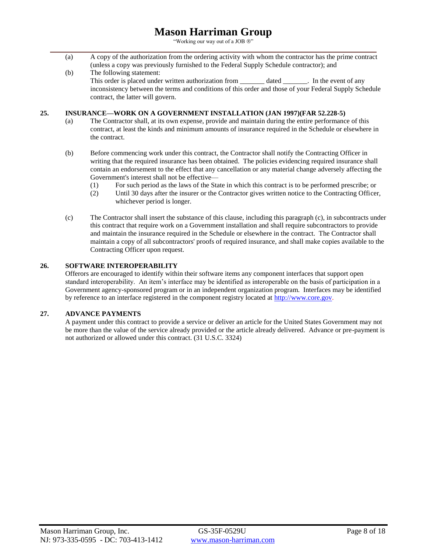"Working our way out of a JOB  $\mathbb{Q}$ "

- (a) A copy of the authorization from the ordering activity with whom the contractor has the prime contract (unless a copy was previously furnished to the Federal Supply Schedule contractor); and
- (b) The following statement: This order is placed under written authorization from dated like the event of any inconsistency between the terms and conditions of this order and those of your Federal Supply Schedule contract, the latter will govern.

## **25. INSURANCE—WORK ON A GOVERNMENT INSTALLATION (JAN 1997)(FAR 52.228-5)**

- (a) The Contractor shall, at its own expense, provide and maintain during the entire performance of this contract, at least the kinds and minimum amounts of insurance required in the Schedule or elsewhere in the contract.
- (b) Before commencing work under this contract, the Contractor shall notify the Contracting Officer in writing that the required insurance has been obtained. The policies evidencing required insurance shall contain an endorsement to the effect that any cancellation or any material change adversely affecting the Government's interest shall not be effective—
	- (1) For such period as the laws of the State in which this contract is to be performed prescribe; or
	- (2) Until 30 days after the insurer or the Contractor gives written notice to the Contracting Officer, whichever period is longer.
- (c) The Contractor shall insert the substance of this clause, including this paragraph (c), in subcontracts under this contract that require work on a Government installation and shall require subcontractors to provide and maintain the insurance required in the Schedule or elsewhere in the contract. The Contractor shall maintain a copy of all subcontractors' proofs of required insurance, and shall make copies available to the Contracting Officer upon request.

#### **26. SOFTWARE INTEROPERABILITY**

Offerors are encouraged to identify within their software items any component interfaces that support open standard interoperability. An item's interface may be identified as interoperable on the basis of participation in a Government agency-sponsored program or in an independent organization program. Interfaces may be identified by reference to an interface registered in the component registry located at [http://www.core.gov.](http://www.core.gov/)

## **27. ADVANCE PAYMENTS**

A payment under this contract to provide a service or deliver an article for the United States Government may not be more than the value of the service already provided or the article already delivered. Advance or pre-payment is not authorized or allowed under this contract. (31 U.S.C. 3324)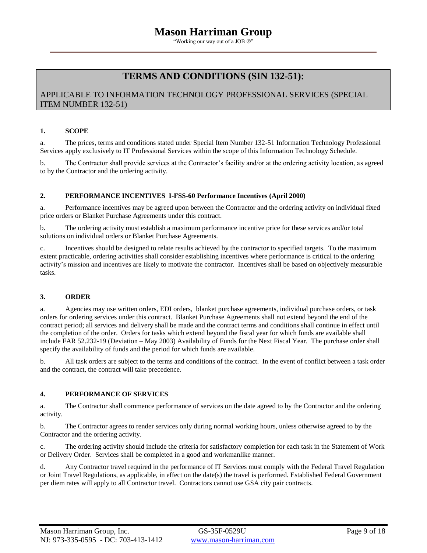"Working our way out of a JOB ®"

# **TERMS AND CONDITIONS (SIN 132-51):**

## APPLICABLE TO INFORMATION TECHNOLOGY PROFESSIONAL SERVICES (SPECIAL ITEM NUMBER 132-51)

## **1. SCOPE**

a. The prices, terms and conditions stated under Special Item Number 132-51 Information Technology Professional Services apply exclusively to IT Professional Services within the scope of this Information Technology Schedule.

b. The Contractor shall provide services at the Contractor's facility and/or at the ordering activity location, as agreed to by the Contractor and the ordering activity.

## **2. PERFORMANCE INCENTIVES I-FSS-60 Performance Incentives (April 2000)**

a. Performance incentives may be agreed upon between the Contractor and the ordering activity on individual fixed price orders or Blanket Purchase Agreements under this contract.

b. The ordering activity must establish a maximum performance incentive price for these services and/or total solutions on individual orders or Blanket Purchase Agreements.

c. Incentives should be designed to relate results achieved by the contractor to specified targets. To the maximum extent practicable, ordering activities shall consider establishing incentives where performance is critical to the ordering activity's mission and incentives are likely to motivate the contractor. Incentives shall be based on objectively measurable tasks.

## **3. ORDER**

a. Agencies may use written orders, EDI orders, blanket purchase agreements, individual purchase orders, or task orders for ordering services under this contract. Blanket Purchase Agreements shall not extend beyond the end of the contract period; all services and delivery shall be made and the contract terms and conditions shall continue in effect until the completion of the order. Orders for tasks which extend beyond the fiscal year for which funds are available shall include FAR 52.232-19 (Deviation – May 2003) Availability of Funds for the Next Fiscal Year. The purchase order shall specify the availability of funds and the period for which funds are available.

b. All task orders are subject to the terms and conditions of the contract. In the event of conflict between a task order and the contract, the contract will take precedence.

## **4. PERFORMANCE OF SERVICES**

a. The Contractor shall commence performance of services on the date agreed to by the Contractor and the ordering activity.

b. The Contractor agrees to render services only during normal working hours, unless otherwise agreed to by the Contractor and the ordering activity.

c. The ordering activity should include the criteria for satisfactory completion for each task in the Statement of Work or Delivery Order. Services shall be completed in a good and workmanlike manner.

d. Any Contractor travel required in the performance of IT Services must comply with the Federal Travel Regulation or Joint Travel Regulations, as applicable, in effect on the date(s) the travel is performed. Established Federal Government per diem rates will apply to all Contractor travel. Contractors cannot use GSA city pair contracts.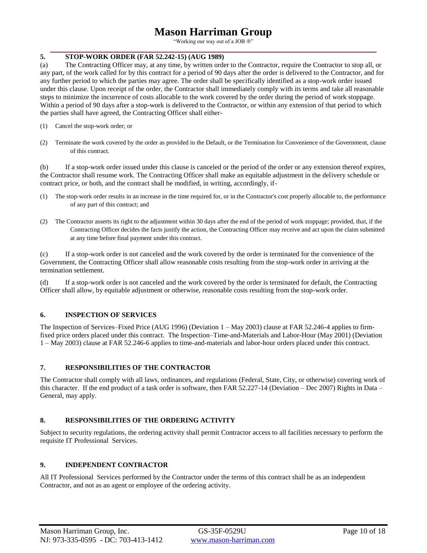"Working our way out of a JOB ®"

## **5. STOP-WORK ORDER (FAR 52.242-15) (AUG 1989)**

(a) The Contracting Officer may, at any time, by written order to the Contractor, require the Contractor to stop all, or any part, of the work called for by this contract for a period of 90 days after the order is delivered to the Contractor, and for any further period to which the parties may agree. The order shall be specifically identified as a stop-work order issued under this clause. Upon receipt of the order, the Contractor shall immediately comply with its terms and take all reasonable steps to minimize the incurrence of costs allocable to the work covered by the order during the period of work stoppage. Within a period of 90 days after a stop-work is delivered to the Contractor, or within any extension of that period to which the parties shall have agreed, the Contracting Officer shall either-

- (1) Cancel the stop-work order; or
- (2) Terminate the work covered by the order as provided in the Default, or the Termination for Convenience of the Government, clause of this contract.

(b) If a stop-work order issued under this clause is canceled or the period of the order or any extension thereof expires, the Contractor shall resume work. The Contracting Officer shall make an equitable adjustment in the delivery schedule or contract price, or both, and the contract shall be modified, in writing, accordingly, if-

- (1) The stop-work order results in an increase in the time required for, or in the Contractor's cost properly allocable to, the performance of any part of this contract; and
- (2) The Contractor asserts its right to the adjustment within 30 days after the end of the period of work stoppage; provided, that, if the Contracting Officer decides the facts justify the action, the Contracting Officer may receive and act upon the claim submitted at any time before final payment under this contract.

(c) If a stop-work order is not canceled and the work covered by the order is terminated for the convenience of the Government, the Contracting Officer shall allow reasonable costs resulting from the stop-work order in arriving at the termination settlement.

(d) If a stop-work order is not canceled and the work covered by the order is terminated for default, the Contracting Officer shall allow, by equitable adjustment or otherwise, reasonable costs resulting from the stop-work order.

## **6. INSPECTION OF SERVICES**

The Inspection of Services–Fixed Price (AUG 1996) (Deviation 1 – May 2003) clause at FAR 52.246-4 applies to firmfixed price orders placed under this contract. The Inspection–Time-and-Materials and Labor-Hour (May 2001) (Deviation 1 – May 2003) clause at FAR 52.246-6 applies to time-and-materials and labor-hour orders placed under this contract.

## **7. RESPONSIBILITIES OF THE CONTRACTOR**

The Contractor shall comply with all laws, ordinances, and regulations (Federal, State, City, or otherwise) covering work of this character. If the end product of a task order is software, then FAR 52.227-14 (Deviation – Dec 2007) Rights in Data – General, may apply.

## **8. RESPONSIBILITIES OF THE ORDERING ACTIVITY**

Subject to security regulations, the ordering activity shall permit Contractor access to all facilities necessary to perform the requisite IT Professional Services.

## **9. INDEPENDENT CONTRACTOR**

All IT Professional Services performed by the Contractor under the terms of this contract shall be as an independent Contractor, and not as an agent or employee of the ordering activity.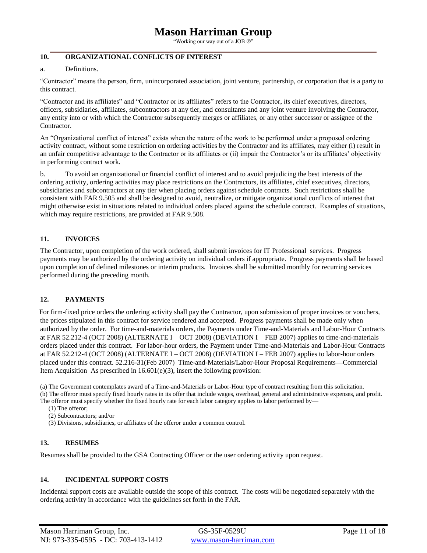"Working our way out of a JOB  $\mathcal{D}$ "

## **10. ORGANIZATIONAL CONFLICTS OF INTEREST**

#### a. Definitions.

"Contractor" means the person, firm, unincorporated association, joint venture, partnership, or corporation that is a party to this contract.

"Contractor and its affiliates" and "Contractor or its affiliates" refers to the Contractor, its chief executives, directors, officers, subsidiaries, affiliates, subcontractors at any tier, and consultants and any joint venture involving the Contractor, any entity into or with which the Contractor subsequently merges or affiliates, or any other successor or assignee of the Contractor.

An "Organizational conflict of interest" exists when the nature of the work to be performed under a proposed ordering activity contract, without some restriction on ordering activities by the Contractor and its affiliates, may either (i) result in an unfair competitive advantage to the Contractor or its affiliates or (ii) impair the Contractor's or its affiliates' objectivity in performing contract work.

b. To avoid an organizational or financial conflict of interest and to avoid prejudicing the best interests of the ordering activity, ordering activities may place restrictions on the Contractors, its affiliates, chief executives, directors, subsidiaries and subcontractors at any tier when placing orders against schedule contracts. Such restrictions shall be consistent with FAR 9.505 and shall be designed to avoid, neutralize, or mitigate organizational conflicts of interest that might otherwise exist in situations related to individual orders placed against the schedule contract. Examples of situations, which may require restrictions, are provided at FAR 9.508.

## **11. INVOICES**

The Contractor, upon completion of the work ordered, shall submit invoices for IT Professional services. Progress payments may be authorized by the ordering activity on individual orders if appropriate. Progress payments shall be based upon completion of defined milestones or interim products. Invoices shall be submitted monthly for recurring services performed during the preceding month.

## **12. PAYMENTS**

 For firm-fixed price orders the ordering activity shall pay the Contractor, upon submission of proper invoices or vouchers, the prices stipulated in this contract for service rendered and accepted. Progress payments shall be made only when authorized by the order. For time-and-materials orders, the Payments under Time-and-Materials and Labor-Hour Contracts at FAR 52.212-4 (OCT 2008) (ALTERNATE I – OCT 2008) (DEVIATION I – FEB 2007) applies to time-and-materials orders placed under this contract. For labor-hour orders, the Payment under Time-and-Materials and Labor-Hour Contracts at FAR 52.212-4 (OCT 2008) (ALTERNATE I – OCT 2008) (DEVIATION I – FEB 2007) applies to labor-hour orders placed under this contract. 52.216-31(Feb 2007) Time-and-Materials/Labor-Hour Proposal Requirements**—**Commercial Item Acquisition. As prescribed in  $16.601(e)(3)$ , insert the following provision:

(a) The Government contemplates award of a Time-and-Materials or Labor-Hour type of contract resulting from this solicitation. (b) The offeror must specify fixed hourly rates in its offer that include wages, overhead, general and administrative expenses, and profit. The offeror must specify whether the fixed hourly rate for each labor category applies to labor performed by—

(1) The offeror;

(2) Subcontractors; and/or

(3) Divisions, subsidiaries, or affiliates of the offeror under a common control.

## **13. RESUMES**

Resumes shall be provided to the GSA Contracting Officer or the user ordering activity upon request.

## **14. INCIDENTAL SUPPORT COSTS**

Incidental support costs are available outside the scope of this contract. The costs will be negotiated separately with the ordering activity in accordance with the guidelines set forth in the FAR.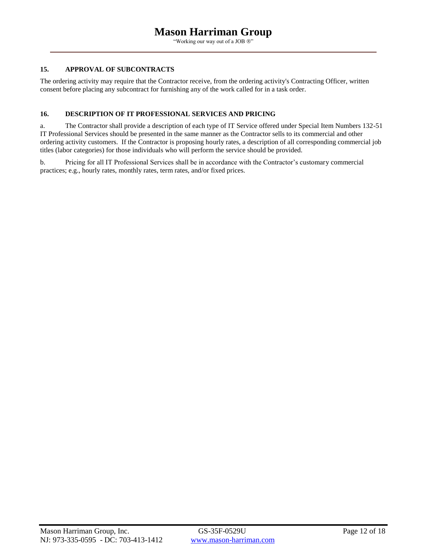"Working our way out of a JOB ®"

## **15. APPROVAL OF SUBCONTRACTS**

The ordering activity may require that the Contractor receive, from the ordering activity's Contracting Officer, written consent before placing any subcontract for furnishing any of the work called for in a task order.

## **16. DESCRIPTION OF IT PROFESSIONAL SERVICES AND PRICING**

a. The Contractor shall provide a description of each type of IT Service offered under Special Item Numbers 132-51 IT Professional Services should be presented in the same manner as the Contractor sells to its commercial and other ordering activity customers. If the Contractor is proposing hourly rates, a description of all corresponding commercial job titles (labor categories) for those individuals who will perform the service should be provided.

b. Pricing for all IT Professional Services shall be in accordance with the Contractor's customary commercial practices; e.g., hourly rates, monthly rates, term rates, and/or fixed prices.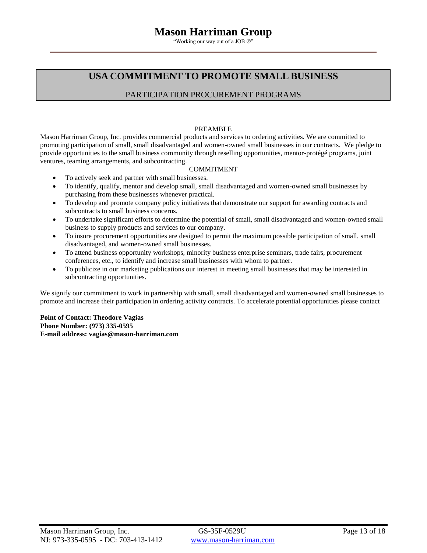"Working our way out of a JOB ®"

## **USA COMMITMENT TO PROMOTE SMALL BUSINESS**

## PARTICIPATION PROCUREMENT PROGRAMS

## PREAMBLE

Mason Harriman Group, Inc. provides commercial products and services to ordering activities. We are committed to promoting participation of small, small disadvantaged and women-owned small businesses in our contracts. We pledge to provide opportunities to the small business community through reselling opportunities, mentor-protégé programs, joint ventures, teaming arrangements, and subcontracting.

## COMMITMENT

- To actively seek and partner with small businesses.
- To identify, qualify, mentor and develop small, small disadvantaged and women-owned small businesses by purchasing from these businesses whenever practical.
- To develop and promote company policy initiatives that demonstrate our support for awarding contracts and subcontracts to small business concerns.
- To undertake significant efforts to determine the potential of small, small disadvantaged and women-owned small business to supply products and services to our company.
- To insure procurement opportunities are designed to permit the maximum possible participation of small, small disadvantaged, and women-owned small businesses.
- To attend business opportunity workshops, minority business enterprise seminars, trade fairs, procurement conferences, etc., to identify and increase small businesses with whom to partner.
- To publicize in our marketing publications our interest in meeting small businesses that may be interested in subcontracting opportunities.

We signify our commitment to work in partnership with small, small disadvantaged and women-owned small businesses to promote and increase their participation in ordering activity contracts. To accelerate potential opportunities please contact

**Point of Contact: Theodore Vagias Phone Number: (973) 335-0595 E-mail address: vagias@mason-harriman.com**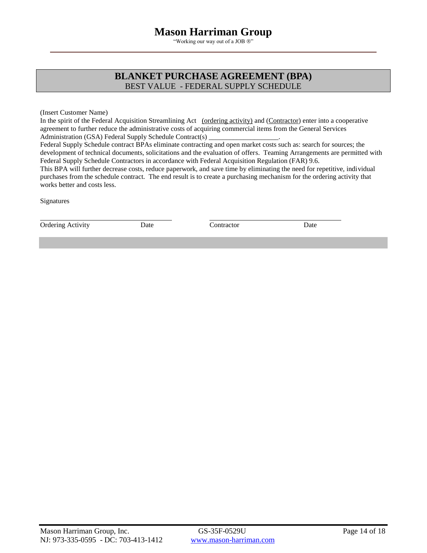"Working our way out of a JOB ®"

## **BLANKET PURCHASE AGREEMENT (BPA)** BEST VALUE - FEDERAL SUPPLY SCHEDULE

(Insert Customer Name)

In the spirit of the Federal Acquisition Streamlining Act (ordering activity) and (Contractor) enter into a cooperative agreement to further reduce the administrative costs of acquiring commercial items from the General Services Administration (GSA) Federal Supply Schedule Contract(s)  $\overline{\phantom{a}}$ 

Federal Supply Schedule contract BPAs eliminate contracting and open market costs such as: search for sources; the development of technical documents, solicitations and the evaluation of offers. Teaming Arrangements are permitted with Federal Supply Schedule Contractors in accordance with Federal Acquisition Regulation (FAR) 9.6.

This BPA will further decrease costs, reduce paperwork, and save time by eliminating the need for repetitive, individual purchases from the schedule contract. The end result is to create a purchasing mechanism for the ordering activity that works better and costs less.

**Signatures** 

Ordering Activity **Date** Contractor Date Contractor Date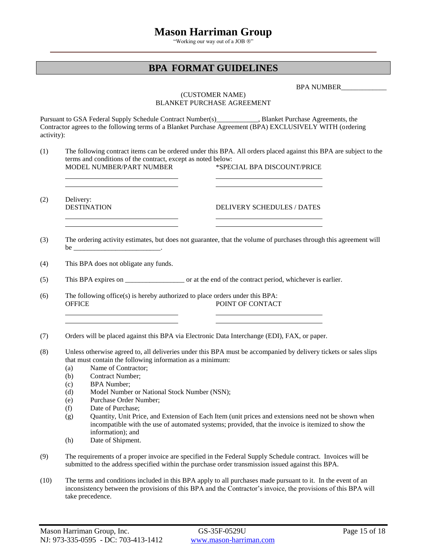"Working our way out of a JOB ®"

## **BPA FORMAT GUIDELINES**

BPA NUMBER\_\_\_\_\_\_\_\_\_\_\_\_\_

## (CUSTOMER NAME) BLANKET PURCHASE AGREEMENT

Pursuant to GSA Federal Supply Schedule Contract Number(s)\_\_\_\_\_\_\_\_\_\_\_\_, Blanket Purchase Agreements, the Contractor agrees to the following terms of a Blanket Purchase Agreement (BPA) EXCLUSIVELY WITH (ordering activity):

(1) The following contract items can be ordered under this BPA. All orders placed against this BPA are subject to the terms and conditions of the contract, except as noted below: MODEL NUMBER/PART NUMBER \*SPECIAL BPA DISCOUNT/PRICE

(2) Delivery:

## DESTINATION DELIVERY SCHEDULES / DATES

- (3) The ordering activity estimates, but does not guarantee, that the volume of purchases through this agreement will be \_\_\_\_\_\_\_\_\_\_\_\_\_\_\_\_\_\_\_\_\_\_\_\_\_\_\_\_\_\_\_\_\_\_\_.
- (4) This BPA does not obligate any funds.
- (5) This BPA expires on \_\_\_\_\_\_\_\_\_\_\_\_\_\_\_\_\_ or at the end of the contract period, whichever is earlier.
- (6) The following office(s) is hereby authorized to place orders under this BPA: OFFICE POINT OF CONTACT
- (7) Orders will be placed against this BPA via Electronic Data Interchange (EDI), FAX, or paper.
- (8) Unless otherwise agreed to, all deliveries under this BPA must be accompanied by delivery tickets or sales slips that must contain the following information as a minimum:
	- (a) Name of Contractor;
	- (b) Contract Number;
	- (c) BPA Number;
	- (d) Model Number or National Stock Number (NSN);
	- (e) Purchase Order Number;
	- (f) Date of Purchase;
	- (g) Quantity, Unit Price, and Extension of Each Item (unit prices and extensions need not be shown when incompatible with the use of automated systems; provided, that the invoice is itemized to show the information); and
	- (h) Date of Shipment.
- (9) The requirements of a proper invoice are specified in the Federal Supply Schedule contract. Invoices will be submitted to the address specified within the purchase order transmission issued against this BPA.
- (10) The terms and conditions included in this BPA apply to all purchases made pursuant to it. In the event of an inconsistency between the provisions of this BPA and the Contractor's invoice, the provisions of this BPA will take precedence.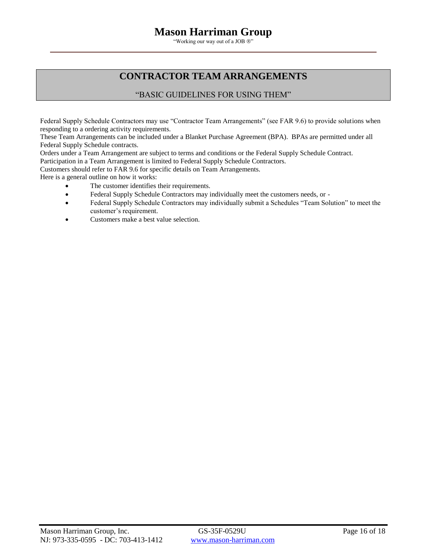"Working our way out of a JOB ®"

# **CONTRACTOR TEAM ARRANGEMENTS**

## "BASIC GUIDELINES FOR USING THEM"

Federal Supply Schedule Contractors may use "Contractor Team Arrangements" (see FAR 9.6) to provide solutions when responding to a ordering activity requirements.

These Team Arrangements can be included under a Blanket Purchase Agreement (BPA). BPAs are permitted under all Federal Supply Schedule contracts.

Orders under a Team Arrangement are subject to terms and conditions or the Federal Supply Schedule Contract.

Participation in a Team Arrangement is limited to Federal Supply Schedule Contractors.

Customers should refer to FAR 9.6 for specific details on Team Arrangements.

Here is a general outline on how it works:

- The customer identifies their requirements.
- Federal Supply Schedule Contractors may individually meet the customers needs, or -
- Federal Supply Schedule Contractors may individually submit a Schedules "Team Solution" to meet the customer's requirement.
- Customers make a best value selection.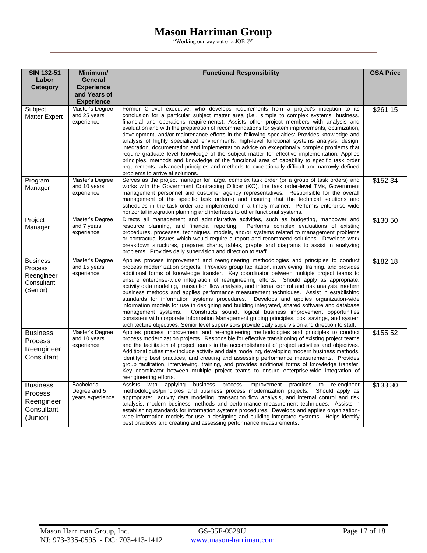"Working our way out of a JOB ®"

| <b>SIN 132-51</b>                                                  | Minimum/                                                                 | <b>Functional Responsibility</b>                                                                                                                                                                                                                                                                                                                                                                                                                                                                                                                                                                                                                                                                                                                                                                                                                                                                                                                                                                                                                                                | <b>GSA Price</b> |
|--------------------------------------------------------------------|--------------------------------------------------------------------------|---------------------------------------------------------------------------------------------------------------------------------------------------------------------------------------------------------------------------------------------------------------------------------------------------------------------------------------------------------------------------------------------------------------------------------------------------------------------------------------------------------------------------------------------------------------------------------------------------------------------------------------------------------------------------------------------------------------------------------------------------------------------------------------------------------------------------------------------------------------------------------------------------------------------------------------------------------------------------------------------------------------------------------------------------------------------------------|------------------|
| Labor<br>Category                                                  | <b>General</b><br><b>Experience</b><br>and Years of<br><b>Experience</b> |                                                                                                                                                                                                                                                                                                                                                                                                                                                                                                                                                                                                                                                                                                                                                                                                                                                                                                                                                                                                                                                                                 |                  |
| Subject<br><b>Matter Expert</b>                                    | Master's Degree<br>and 25 years<br>experience                            | Former C-level executive, who develops requirements from a project's inception to its<br>conclusion for a particular subject matter area ( <i>i.e.</i> , simple to complex systems, business,<br>financial and operations requirements). Assists other project members with analysis and<br>evaluation and with the preparation of recommendations for system improvements, optimization,<br>development, and/or maintenance efforts in the following specialties: Provides knowledge and<br>analysis of highly specialized environments, high-level functional systems analysis, design,<br>integration, documentation and implementation advice on exceptionally complex problems that<br>require graduate level knowledge of the subject matter for effective implementation. Applies<br>principles, methods and knowledge of the functional area of capability to specific task order<br>requirements, advanced principles and methods to exceptionally difficult and narrowly defined<br>problems to arrive at solutions.                                                  | \$261.15         |
| Program<br>Manager                                                 | Master's Degree<br>and 10 years<br>experience                            | Serves as the project manager for large, complex task order (or a group of task orders) and<br>works with the Government Contracting Officer (KO), the task order-level TMs, Government<br>management personnel and customer agency representatives. Responsible for the overall<br>management of the specific task order(s) and insuring that the technical solutions and<br>schedules in the task order are implemented in a timely manner. Performs enterprise wide<br>horizontal integration planning and interfaces to other functional systems.                                                                                                                                                                                                                                                                                                                                                                                                                                                                                                                           | \$152.34         |
| Project<br>Manager                                                 | Master's Degree<br>and 7 years<br>experience                             | Directs all management and administrative activities, such as budgeting, manpower and<br>resource planning, and financial reporting.<br>Performs complex evaluations of existing<br>procedures, processes, techniques, models, and/or systems related to management problems<br>or contractual issues which would require a report and recommend solutions. Develops work<br>breakdown structures, prepares charts, tables, graphs and diagrams to assist in analyzing<br>problems. Provides daily supervision and direction to staff.                                                                                                                                                                                                                                                                                                                                                                                                                                                                                                                                          | \$130.50         |
| <b>Business</b><br>Process<br>Reengineer<br>Consultant<br>(Senior) | Master's Degree<br>and 15 years<br>experience                            | Applies process improvement and reengineering methodologies and principles to conduct<br>process modernization projects. Provides group facilitation, interviewing, training, and provides<br>additional forms of knowledge transfer. Key coordinator between multiple project teams to<br>ensure enterprise-wide integration of reengineering efforts. Should apply as appropriate,<br>activity data modeling, transaction flow analysis, and internal control and risk analysis, modern<br>business methods and applies performance measurement techniques. Assist in establishing<br>standards for information systems procedures.<br>Develops and applies organization-wide<br>information models for use in designing and building integrated, shared software and database<br>Constructs sound, logical business improvement opportunities<br>management systems.<br>consistent with corporate Information Management guiding principles, cost savings, and system<br>architecture objectives. Senior level supervisors provide daily supervision and direction to staff. | \$182.18         |
| <b>Business</b><br>Process<br>Reengineer<br>Consultant             | Master's Degree<br>and 10 years<br>experience                            | Applies process improvement and re-engineering methodologies and principles to conduct<br>process modernization projects. Responsible for effective transitioning of existing project teams<br>and the facilitation of project teams in the accomplishment of project activities and objectives.<br>Additional duties may include activity and data modeling, developing modern business methods,<br>identifying best practices, and creating and assessing performance measurements. Provides<br>group facilitation, interviewing, training, and provides additional forms of knowledge transfer.<br>Key coordinator between multiple project teams to ensure enterprise-wide integration of<br>reengineering efforts.                                                                                                                                                                                                                                                                                                                                                         | \$155.52         |
| <b>Business</b><br>Process<br>Reengineer<br>Consultant<br>(Junior) | Bachelor's<br>Degree and 5<br>years experience                           | <b>Assists</b><br>with<br>applying<br>business<br>process<br>practices<br>improvement<br>re-engineer<br>to<br>methodologies/principles and business process modernization projects.<br>Should apply as<br>appropriate: activity data modeling, transaction flow analysis, and internal control and risk<br>analysis, modern business methods and performance measurement techniques. Assists in<br>establishing standards for information systems procedures. Develops and applies organization-<br>wide information models for use in designing and building integrated systems. Helps identify<br>best practices and creating and assessing performance measurements.                                                                                                                                                                                                                                                                                                                                                                                                         | \$133.30         |